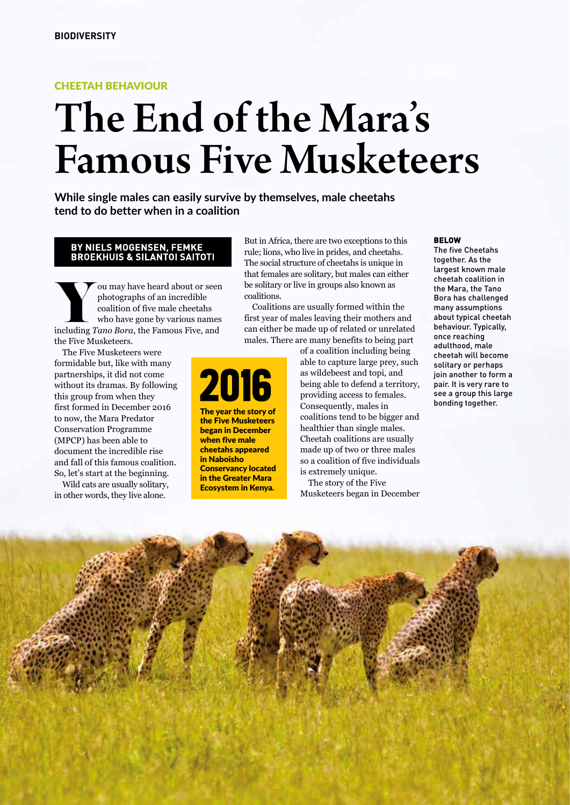#### CHEETAH BEHAVIOUR

# The End of the Mara's Famous Five Musketeers

**While single males can easily survive by themselves, male cheetahs tend to do better when in a coalition**

> The year the story of the Five Musketeers began in December when five male cheetahs appeared in Naboisho Conservancy located in the Greater Mara Ecosystem in Kenya.

2016

### **BY NIELS MOGENSEN, FEMKE<br>BROEKHUIS & SILANTOI SAITOTI**

You may have heard about or seen<br>
photographs of an incredible<br>
coalition of five male cheetahs<br>
who have gone by various names<br>
including Tano Bora, the Famous Five and photographs of an incredible coalition of five male cheetahs including *Tano Bora*, the Famous Five, and the Five Musketeers.

The Five Musketeers were formidable but, like with many partnerships, it did not come without its dramas. By following this group from when they first formed in December 2016 to now, the Mara Predator Conservation Programme (MPCP) has been able to document the incredible rise and fall of this famous coalition. So, let's start at the beginning.

Wild cats are usually solitary, in other words, they live alone.

But in Africa, there are two exceptions to this rule; lions, who live in prides, and cheetahs. The social structure of cheetahs is unique in that females are solitary, but males can either be solitary or live in groups also known as coalitions.

Coalitions are usually formed within the first year of males leaving their mothers and can either be made up of related or unrelated males. There are many benefits to being part

> of a coalition including being able to capture large prey, such as wildebeest and topi, and being able to defend a territory, providing access to females. Consequently, males in coalitions tend to be bigger and healthier than single males. Cheetah coalitions are usually made up of two or three males so a coalition of five individuals is extremely unique.

The story of the Five Musketeers began in December

#### **BELOW**

The five Cheetahs together. As the largest known male cheetah coalition in the Mara, the Tano Bora has challenged many assumptions about typical cheetah behaviour. Typically, once reaching adulthood, male cheetah will become solitary or perhaps join another to form a pair. It is very rare to see a group this large bonding together.

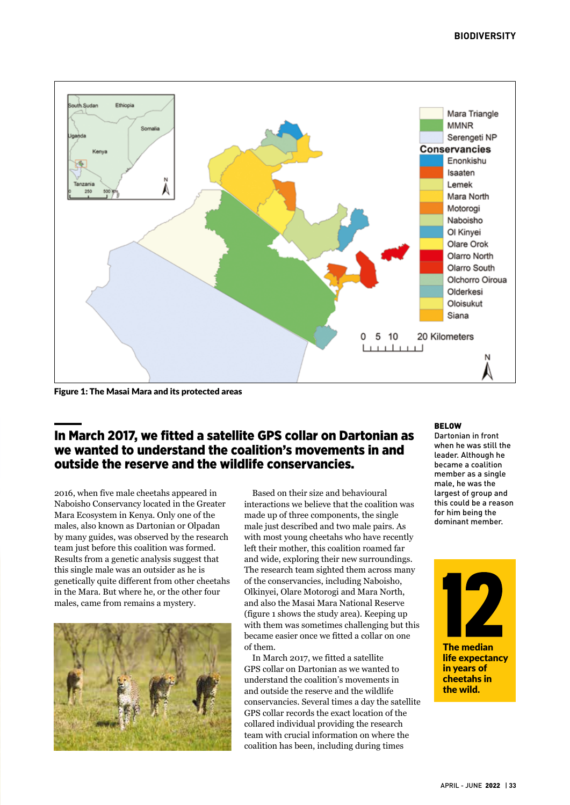

Figure 1: The Masai Mara and its protected areas

#### In March 2017, we fitted a satellite GPS collar on Dartonian as we wanted to understand the coalition's movements in and outside the reserve and the wildlife conservancies.

2016, when five male cheetahs appeared in Naboisho Conservancy located in the Greater Mara Ecosystem in Kenya. Only one of the males, also known as Dartonian or Olpadan by many guides, was observed by the research team just before this coalition was formed. Results from a genetic analysis suggest that this single male was an outsider as he is genetically quite different from other cheetahs in the Mara. But where he, or the other four males, came from remains a mystery.



Based on their size and behavioural interactions we believe that the coalition was made up of three components, the single male just described and two male pairs. As with most young cheetahs who have recently left their mother, this coalition roamed far and wide, exploring their new surroundings. The research team sighted them across many of the conservancies, including Naboisho, Olkinyei, Olare Motorogi and Mara North, and also the Masai Mara National Reserve (figure 1 shows the study area). Keeping up with them was sometimes challenging but this became easier once we fitted a collar on one of them.

In March 2017, we fitted a satellite GPS collar on Dartonian as we wanted to understand the coalition's movements in and outside the reserve and the wildlife conservancies. Several times a day the satellite GPS collar records the exact location of the collared individual providing the research team with crucial information on where the coalition has been, including during times

#### **BELOW**

Dartonian in front when he was still the leader. Although he became a coalition member as a single male, he was the largest of group and this could be a reason for him being the dominant member.



The median life expectancy in years of cheetahs in the wild.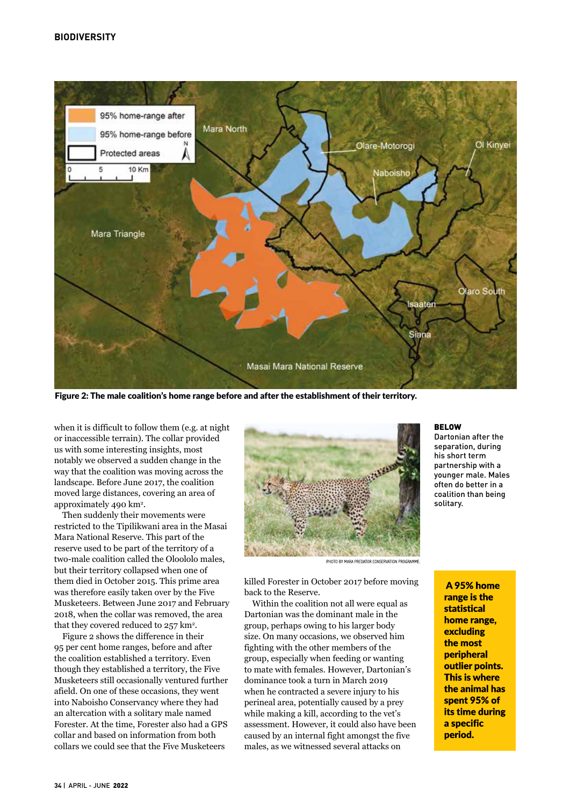

Figure 2: The male coalition's home range before and after the establishment of their territory.

when it is difficult to follow them (e.g. at night or inaccessible terrain). The collar provided us with some interesting insights, most notably we observed a sudden change in the way that the coalition was moving across the landscape. Before June 2017, the coalition moved large distances, covering an area of approximately 490 km<sup>2</sup>.

Then suddenly their movements were restricted to the Tipilikwani area in the Masai Mara National Reserve. This part of the reserve used to be part of the territory of a two-male coalition called the Oloololo males, but their territory collapsed when one of them died in October 2015. This prime area was therefore easily taken over by the Five Musketeers. Between June 2017 and February 2018, when the collar was removed, the area that they covered reduced to 257 km<sup>2</sup>.

Figure 2 shows the difference in their 95 per cent home ranges, before and after the coalition established a territory. Even though they established a territory, the Five Musketeers still occasionally ventured further afield. On one of these occasions, they went into Naboisho Conservancy where they had an altercation with a solitary male named Forester. At the time, Forester also had a GPS collar and based on information from both collars we could see that the Five Musketeers



PHOTO BY MARA PREDATOR CONSERVATION PROGRAMME

killed Forester in October 2017 before moving back to the Reserve.

Within the coalition not all were equal as Dartonian was the dominant male in the group, perhaps owing to his larger body size. On many occasions, we observed him fighting with the other members of the group, especially when feeding or wanting to mate with females. However, Dartonian's dominance took a turn in March 2019 when he contracted a severe injury to his perineal area, potentially caused by a prey while making a kill, according to the vet's assessment. However, it could also have been caused by an internal fight amongst the five males, as we witnessed several attacks on

#### **BELOW**

Dartonian after the separation, during his short term partnership with a younger male. Males often do better in a coalition than being solitary.

> **A 95% home** range is the **statistical** home range. excluding the most peripheral outlier points. This is where the animal has spent 95% of its time during a specific period.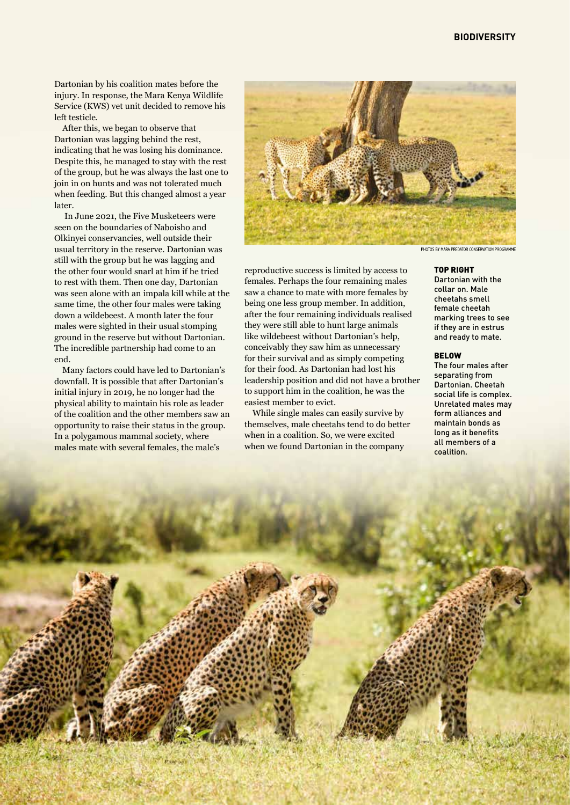Dartonian by his coalition mates before the injury. In response, the Mara Kenya Wildlife Service (KWS) vet unit decided to remove his left testicle.

After this, we began to observe that Dartonian was lagging behind the rest, indicating that he was losing his dominance. Despite this, he managed to stay with the rest of the group, but he was always the last one to join in on hunts and was not tolerated much when feeding. But this changed almost a year later.

 In June 2021, the Five Musketeers were seen on the boundaries of Naboisho and Olkinyei conservancies, well outside their usual territory in the reserve. Dartonian was still with the group but he was lagging and the other four would snarl at him if he tried to rest with them. Then one day, Dartonian was seen alone with an impala kill while at the same time, the other four males were taking down a wildebeest. A month later the four males were sighted in their usual stomping ground in the reserve but without Dartonian. The incredible partnership had come to an end.

Many factors could have led to Dartonian's downfall. It is possible that after Dartonian's initial injury in 2019, he no longer had the physical ability to maintain his role as leader of the coalition and the other members saw an opportunity to raise their status in the group. In a polygamous mammal society, where males mate with several females, the male's



reproductive success is limited by access to females. Perhaps the four remaining males saw a chance to mate with more females by being one less group member. In addition, after the four remaining individuals realised they were still able to hunt large animals like wildebeest without Dartonian's help, conceivably they saw him as unnecessary for their survival and as simply competing for their food. As Dartonian had lost his leadership position and did not have a brother to support him in the coalition, he was the easiest member to evict.

While single males can easily survive by themselves, male cheetahs tend to do better when in a coalition. So, we were excited when we found Dartonian in the company

#### TOP RIGHT

Dartonian with the collar on. Male cheetahs smell female cheetah marking trees to see if they are in estrus and ready to mate.

#### BELOW

The four males after separating from Dartonian. Cheetah social life is complex. Unrelated males may form alliances and maintain bonds as long as it benefits all members of a coalition.

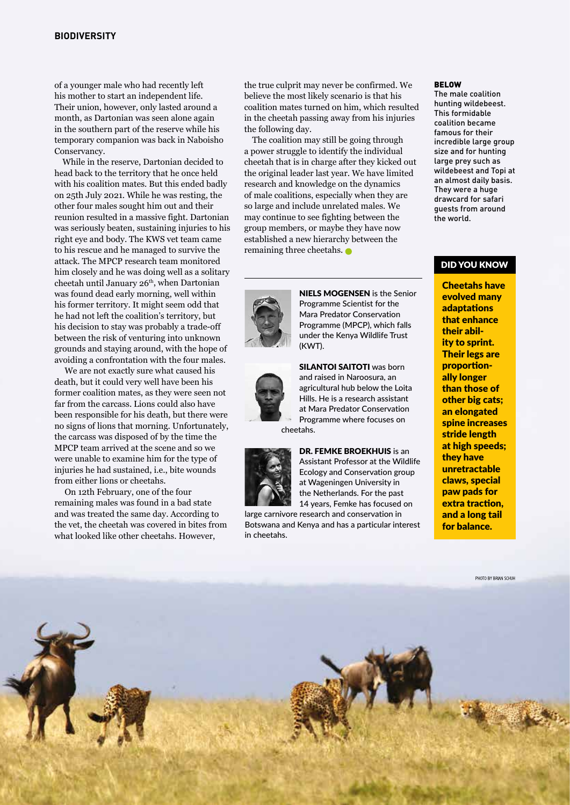#### **BIODIVERSITY**

of a younger male who had recently left his mother to start an independent life. Their union, however, only lasted around a month, as Dartonian was seen alone again in the southern part of the reserve while his temporary companion was back in Naboisho Conservancy.

While in the reserve, Dartonian decided to head back to the territory that he once held with his coalition mates. But this ended badly on 25th July 2021. While he was resting, the other four males sought him out and their reunion resulted in a massive fight. Dartonian was seriously beaten, sustaining injuries to his right eye and body. The KWS vet team came to his rescue and he managed to survive the attack. The MPCP research team monitored him closely and he was doing well as a solitary cheetah until January 26<sup>th</sup>, when Dartonian was found dead early morning, well within his former territory. It might seem odd that he had not left the coalition's territory, but his decision to stay was probably a trade-off between the risk of venturing into unknown grounds and staying around, with the hope of avoiding a confrontation with the four males.

 We are not exactly sure what caused his death, but it could very well have been his former coalition mates, as they were seen not far from the carcass. Lions could also have been responsible for his death, but there were no signs of lions that morning. Unfortunately, the carcass was disposed of by the time the MPCP team arrived at the scene and so we were unable to examine him for the type of injuries he had sustained, i.e., bite wounds from either lions or cheetahs.

 On 12th February, one of the four remaining males was found in a bad state and was treated the same day. According to the vet, the cheetah was covered in bites from what looked like other cheetahs. However,

the true culprit may never be confirmed. We believe the most likely scenario is that his coalition mates turned on him, which resulted in the cheetah passing away from his injuries the following day.

The coalition may still be going through a power struggle to identify the individual cheetah that is in charge after they kicked out the original leader last year. We have limited research and knowledge on the dynamics of male coalitions, especially when they are so large and include unrelated males. We may continue to see fighting between the group members, or maybe they have now established a new hierarchy between the remaining three cheetahs.



The male coalition hunting wildebeest. This formidable coalition became famous for their incredible large group size and for hunting large prey such as wildebeest and Topi at an almost daily basis. They were a huge drawcard for safari guests from around the world.

#### **DID YOU KNOW**

Cheetahs have



NIELS MOGENSEN is the Senior Programme Scientist for the Mara Predator Conservation Programme (MPCP), which falls under the Kenya Wildlife Trust (KWT).



SILANTOI SAITOTI was born and raised in Naroosura, an agricultural hub below the Loita Hills. He is a research assistant at Mara Predator Conservation Programme where focuses on

cheetahs.



DR. FEMKE BROEKHUIS is an Assistant Professor at the Wildlife Ecology and Conservation group at Wageningen University in the Netherlands. For the past 14 years, Femke has focused on

large carnivore research and conservation in Botswana and Kenya and has a particular interest in cheetahs.

evolved many adaptations that enhance their ability to sprint. Their legs are proportionally longer than those of other big cats; an elongated spine increases stride length at high speeds; they have unretractable claws, special paw pads for extra traction, and a long tail for balance.

PHOTO BY BRIAN SCHUH